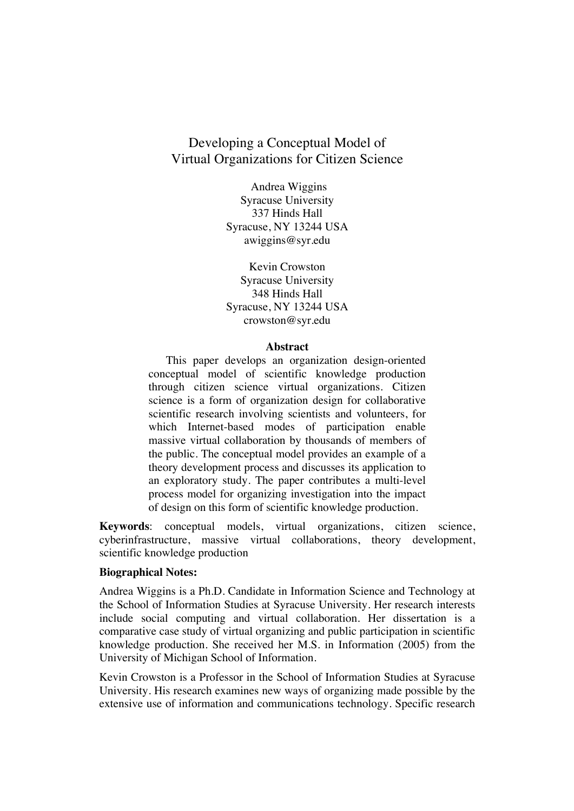#### Developing a Conceptual Model of Virtual Organizations for Citizen Science

Andrea Wiggins Syracuse University 337 Hinds Hall Syracuse, NY 13244 USA awiggins@syr.edu

Kevin Crowston Syracuse University 348 Hinds Hall Syracuse, NY 13244 USA crowston@syr.edu

#### **Abstract**

This paper develops an organization design-oriented conceptual model of scientific knowledge production through citizen science virtual organizations. Citizen science is a form of organization design for collaborative scientific research involving scientists and volunteers, for which Internet-based modes of participation enable massive virtual collaboration by thousands of members of the public. The conceptual model provides an example of a theory development process and discusses its application to an exploratory study. The paper contributes a multi-level process model for organizing investigation into the impact of design on this form of scientific knowledge production.

**Keywords**: conceptual models, virtual organizations, citizen science, cyberinfrastructure, massive virtual collaborations, theory development, scientific knowledge production

#### **Biographical Notes:**

Andrea Wiggins is a Ph.D. Candidate in Information Science and Technology at the School of Information Studies at Syracuse University. Her research interests include social computing and virtual collaboration. Her dissertation is a comparative case study of virtual organizing and public participation in scientific knowledge production. She received her M.S. in Information (2005) from the University of Michigan School of Information.

Kevin Crowston is a Professor in the School of Information Studies at Syracuse University. His research examines new ways of organizing made possible by the extensive use of information and communications technology. Specific research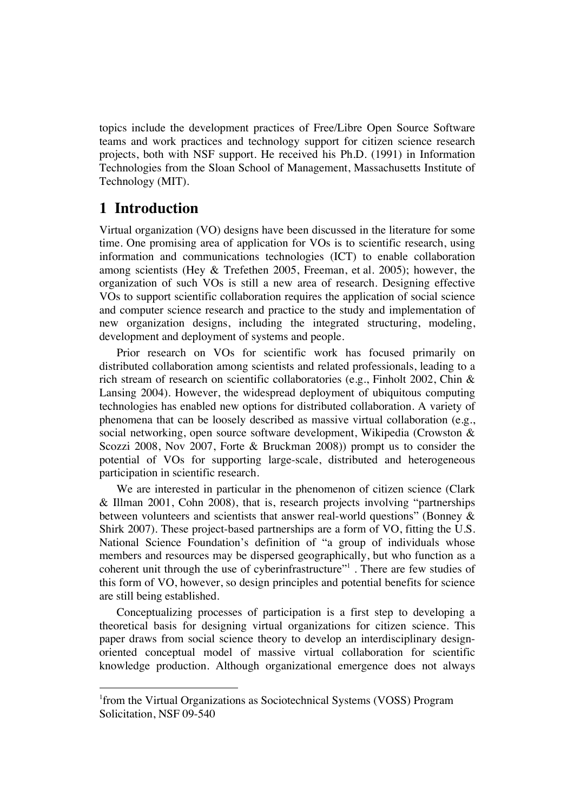topics include the development practices of Free/Libre Open Source Software teams and work practices and technology support for citizen science research projects, both with NSF support. He received his Ph.D. (1991) in Information Technologies from the Sloan School of Management, Massachusetts Institute of Technology (MIT).

### **1 Introduction**

Virtual organization (VO) designs have been discussed in the literature for some time. One promising area of application for VOs is to scientific research, using information and communications technologies (ICT) to enable collaboration among scientists (Hey & Trefethen 2005, Freeman, et al. 2005); however, the organization of such VOs is still a new area of research. Designing effective VOs to support scientific collaboration requires the application of social science and computer science research and practice to the study and implementation of new organization designs, including the integrated structuring, modeling, development and deployment of systems and people.

Prior research on VOs for scientific work has focused primarily on distributed collaboration among scientists and related professionals, leading to a rich stream of research on scientific collaboratories (e.g., Finholt 2002, Chin & Lansing 2004). However, the widespread deployment of ubiquitous computing technologies has enabled new options for distributed collaboration. A variety of phenomena that can be loosely described as massive virtual collaboration (e.g., social networking, open source software development, Wikipedia (Crowston & Scozzi 2008, Nov 2007, Forte & Bruckman 2008)) prompt us to consider the potential of VOs for supporting large-scale, distributed and heterogeneous participation in scientific research.

We are interested in particular in the phenomenon of citizen science (Clark & Illman 2001, Cohn 2008), that is, research projects involving "partnerships between volunteers and scientists that answer real-world questions" (Bonney & Shirk 2007). These project-based partnerships are a form of VO, fitting the U.S. National Science Foundation's definition of "a group of individuals whose members and resources may be dispersed geographically, but who function as a coherent unit through the use of cyberinfrastructure" $\cdot$ <sup>1</sup>. There are few studies of this form of VO, however, so design principles and potential benefits for science are still being established.

Conceptualizing processes of participation is a first step to developing a theoretical basis for designing virtual organizations for citizen science. This paper draws from social science theory to develop an interdisciplinary designoriented conceptual model of massive virtual collaboration for scientific knowledge production. Although organizational emergence does not always

<sup>|&</sup>lt;br>|<br>| <sup>1</sup> from the Virtual Organizations as Sociotechnical Systems (VOSS) Program Solicitation, NSF 09-540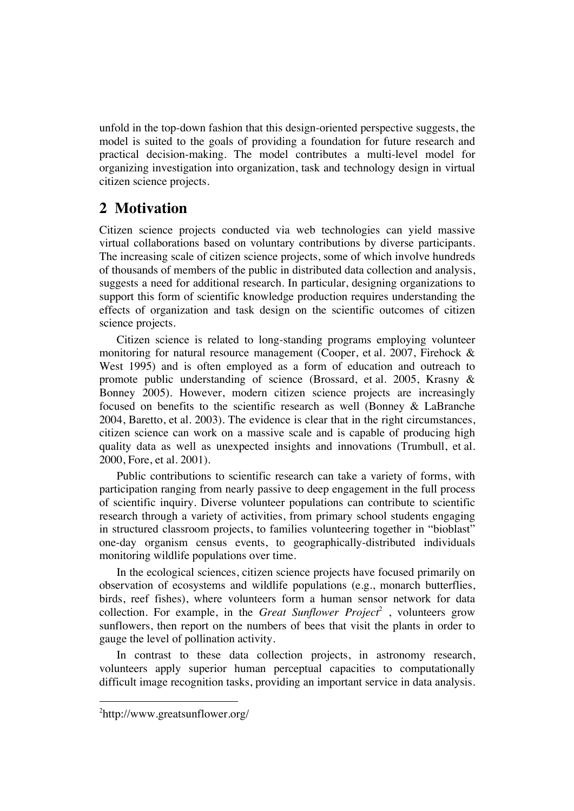unfold in the top-down fashion that this design-oriented perspective suggests, the model is suited to the goals of providing a foundation for future research and practical decision-making. The model contributes a multi-level model for organizing investigation into organization, task and technology design in virtual citizen science projects.

# **2 Motivation**

Citizen science projects conducted via web technologies can yield massive virtual collaborations based on voluntary contributions by diverse participants. The increasing scale of citizen science projects, some of which involve hundreds of thousands of members of the public in distributed data collection and analysis, suggests a need for additional research. In particular, designing organizations to support this form of scientific knowledge production requires understanding the effects of organization and task design on the scientific outcomes of citizen science projects.

Citizen science is related to long-standing programs employing volunteer monitoring for natural resource management (Cooper, et al. 2007, Firehock & West 1995) and is often employed as a form of education and outreach to promote public understanding of science (Brossard, et al. 2005, Krasny & Bonney 2005). However, modern citizen science projects are increasingly focused on benefits to the scientific research as well (Bonney & LaBranche 2004, Baretto, et al. 2003). The evidence is clear that in the right circumstances, citizen science can work on a massive scale and is capable of producing high quality data as well as unexpected insights and innovations (Trumbull, et al. 2000, Fore, et al. 2001).

Public contributions to scientific research can take a variety of forms, with participation ranging from nearly passive to deep engagement in the full process of scientific inquiry. Diverse volunteer populations can contribute to scientific research through a variety of activities, from primary school students engaging in structured classroom projects, to families volunteering together in "bioblast" one-day organism census events, to geographically-distributed individuals monitoring wildlife populations over time.

In the ecological sciences, citizen science projects have focused primarily on observation of ecosystems and wildlife populations (e.g., monarch butterflies, birds, reef fishes), where volunteers form a human sensor network for data collection. For example, in the *Great Sunflower Project*<sup>2</sup>, volunteers grow sunflowers, then report on the numbers of bees that visit the plants in order to gauge the level of pollination activity.

In contrast to these data collection projects, in astronomy research, volunteers apply superior human perceptual capacities to computationally difficult image recognition tasks, providing an important service in data analysis.

 $\frac{1}{2}$ http://www.greatsunflower.org/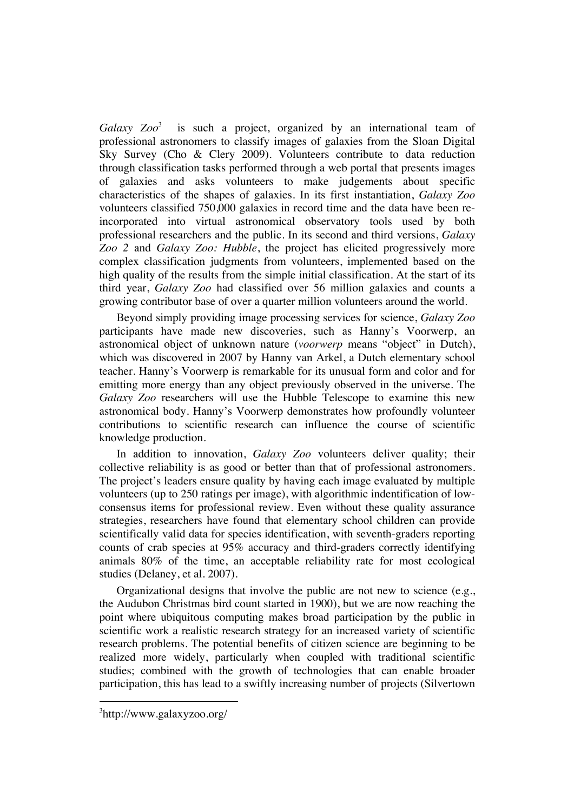*Galaxy Zoo*<sup>3</sup> is such a project, organized by an international team of professional astronomers to classify images of galaxies from the Sloan Digital Sky Survey (Cho & Clery 2009). Volunteers contribute to data reduction through classification tasks performed through a web portal that presents images of galaxies and asks volunteers to make judgements about specific characteristics of the shapes of galaxies. In its first instantiation, *Galaxy Zoo* volunteers classified 750,000 galaxies in record time and the data have been reincorporated into virtual astronomical observatory tools used by both professional researchers and the public. In its second and third versions, *Galaxy Zoo 2* and *Galaxy Zoo: Hubble*, the project has elicited progressively more complex classification judgments from volunteers, implemented based on the high quality of the results from the simple initial classification. At the start of its third year, *Galaxy Zoo* had classified over 56 million galaxies and counts a growing contributor base of over a quarter million volunteers around the world.

Beyond simply providing image processing services for science, *Galaxy Zoo* participants have made new discoveries, such as Hanny's Voorwerp, an astronomical object of unknown nature (*voorwerp* means "object" in Dutch), which was discovered in 2007 by Hanny van Arkel, a Dutch elementary school teacher. Hanny's Voorwerp is remarkable for its unusual form and color and for emitting more energy than any object previously observed in the universe. The *Galaxy Zoo* researchers will use the Hubble Telescope to examine this new astronomical body. Hanny's Voorwerp demonstrates how profoundly volunteer contributions to scientific research can influence the course of scientific knowledge production.

In addition to innovation, *Galaxy Zoo* volunteers deliver quality; their collective reliability is as good or better than that of professional astronomers. The project's leaders ensure quality by having each image evaluated by multiple volunteers (up to 250 ratings per image), with algorithmic indentification of lowconsensus items for professional review. Even without these quality assurance strategies, researchers have found that elementary school children can provide scientifically valid data for species identification, with seventh-graders reporting counts of crab species at 95% accuracy and third-graders correctly identifying animals 80% of the time, an acceptable reliability rate for most ecological studies (Delaney, et al. 2007).

Organizational designs that involve the public are not new to science (e.g., the Audubon Christmas bird count started in 1900), but we are now reaching the point where ubiquitous computing makes broad participation by the public in scientific work a realistic research strategy for an increased variety of scientific research problems. The potential benefits of citizen science are beginning to be realized more widely, particularly when coupled with traditional scientific studies; combined with the growth of technologies that can enable broader participation, this has lead to a swiftly increasing number of projects (Silvertown

 <sup>3</sup> http://www.galaxyzoo.org/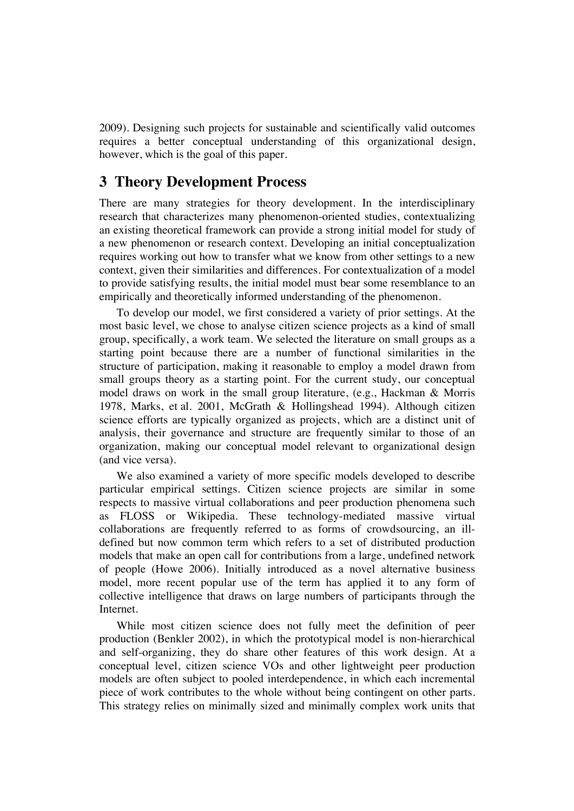2009). Designing such projects for sustainable and scientifically valid outcomes requires a better conceptual understanding of this organizational design, however, which is the goal of this paper.

#### **3 Theory Development Process**

There are many strategies for theory development. In the interdisciplinary research that characterizes many phenomenon-oriented studies, contextualizing an existing theoretical framework can provide a strong initial model for study of a new phenomenon or research context. Developing an initial conceptualization requires working out how to transfer what we know from other settings to a new context, given their similarities and differences. For contextualization of a model to provide satisfying results, the initial model must bear some resemblance to an empirically and theoretically informed understanding of the phenomenon.

To develop our model, we first considered a variety of prior settings. At the most basic level, we chose to analyse citizen science projects as a kind of small group, specifically, a work team. We selected the literature on small groups as a starting point because there are a number of functional similarities in the structure of participation, making it reasonable to employ a model drawn from small groups theory as a starting point. For the current study, our conceptual model draws on work in the small group literature, (e.g., Hackman & Morris 1978, Marks, et al. 2001, McGrath & Hollingshead 1994). Although citizen science efforts are typically organized as projects, which are a distinct unit of analysis, their governance and structure are frequently similar to those of an organization, making our conceptual model relevant to organizational design (and vice versa).

We also examined a variety of more specific models developed to describe particular empirical settings. Citizen science projects are similar in some respects to massive virtual collaborations and peer production phenomena such as FLOSS or Wikipedia. These technology-mediated massive virtual collaborations are frequently referred to as forms of crowdsourcing, an illdefined but now common term which refers to a set of distributed production models that make an open call for contributions from a large, undefined network of people (Howe 2006). Initially introduced as a novel alternative business model, more recent popular use of the term has applied it to any form of collective intelligence that draws on large numbers of participants through the Internet.

While most citizen science does not fully meet the definition of peer production (Benkler 2002), in which the prototypical model is non-hierarchical and self-organizing, they do share other features of this work design. At a conceptual level, citizen science VOs and other lightweight peer production models are often subject to pooled interdependence, in which each incremental piece of work contributes to the whole without being contingent on other parts. This strategy relies on minimally sized and minimally complex work units that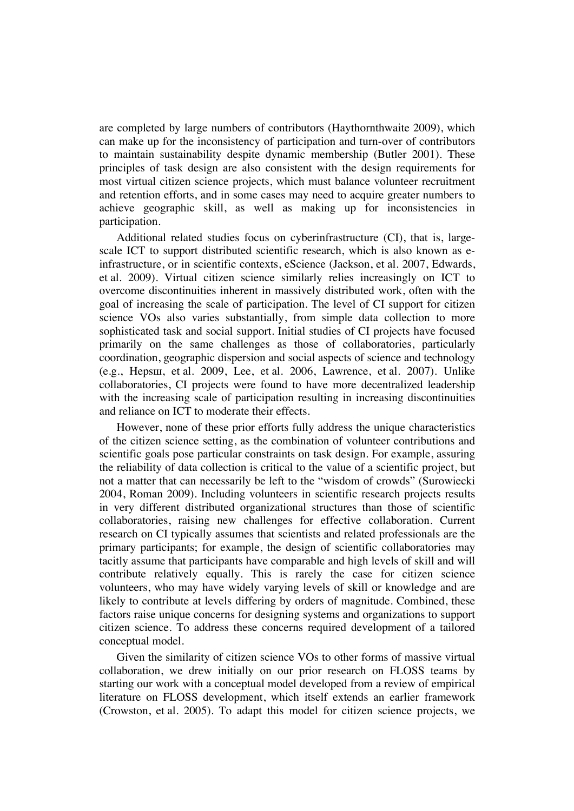are completed by large numbers of contributors (Haythornthwaite 2009), which can make up for the inconsistency of participation and turn-over of contributors to maintain sustainability despite dynamic membership (Butler 2001). These principles of task design are also consistent with the design requirements for most virtual citizen science projects, which must balance volunteer recruitment and retention efforts, and in some cases may need to acquire greater numbers to achieve geographic skill, as well as making up for inconsistencies in participation.

Additional related studies focus on cyberinfrastructure (CI), that is, largescale ICT to support distributed scientific research, which is also known as einfrastructure, or in scientific contexts, eScience (Jackson, et al. 2007, Edwards, et al. 2009). Virtual citizen science similarly relies increasingly on ICT to overcome discontinuities inherent in massively distributed work, often with the goal of increasing the scale of participation. The level of CI support for citizen science VOs also varies substantially, from simple data collection to more sophisticated task and social support. Initial studies of CI projects have focused primarily on the same challenges as those of collaboratories, particularly coordination, geographic dispersion and social aspects of science and technology (e.g., Hepsш, et al. 2009, Lee, et al. 2006, Lawrence, et al. 2007). Unlike collaboratories, CI projects were found to have more decentralized leadership with the increasing scale of participation resulting in increasing discontinuities and reliance on ICT to moderate their effects.

However, none of these prior efforts fully address the unique characteristics of the citizen science setting, as the combination of volunteer contributions and scientific goals pose particular constraints on task design. For example, assuring the reliability of data collection is critical to the value of a scientific project, but not a matter that can necessarily be left to the "wisdom of crowds" (Surowiecki 2004, Roman 2009). Including volunteers in scientific research projects results in very different distributed organizational structures than those of scientific collaboratories, raising new challenges for effective collaboration. Current research on CI typically assumes that scientists and related professionals are the primary participants; for example, the design of scientific collaboratories may tacitly assume that participants have comparable and high levels of skill and will contribute relatively equally. This is rarely the case for citizen science volunteers, who may have widely varying levels of skill or knowledge and are likely to contribute at levels differing by orders of magnitude. Combined, these factors raise unique concerns for designing systems and organizations to support citizen science. To address these concerns required development of a tailored conceptual model.

Given the similarity of citizen science VOs to other forms of massive virtual collaboration, we drew initially on our prior research on FLOSS teams by starting our work with a conceptual model developed from a review of empirical literature on FLOSS development, which itself extends an earlier framework (Crowston, et al. 2005). To adapt this model for citizen science projects, we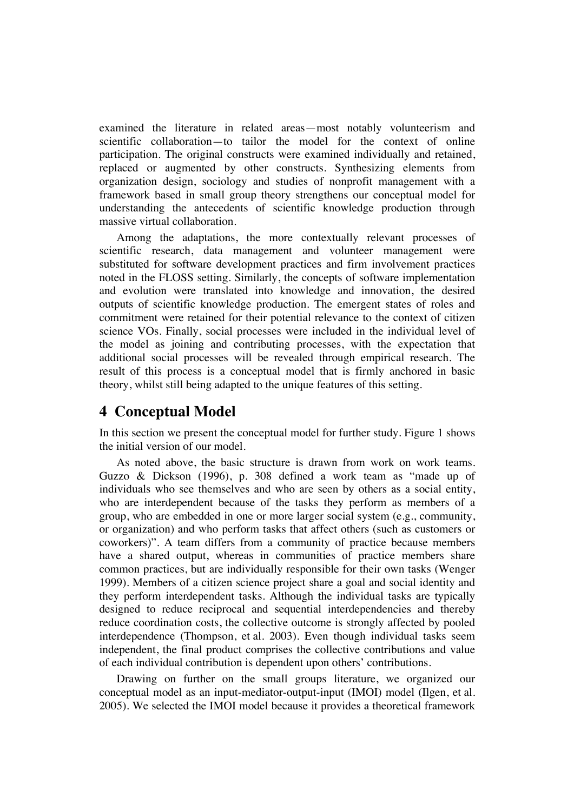examined the literature in related areas—most notably volunteerism and scientific collaboration—to tailor the model for the context of online participation. The original constructs were examined individually and retained, replaced or augmented by other constructs. Synthesizing elements from organization design, sociology and studies of nonprofit management with a framework based in small group theory strengthens our conceptual model for understanding the antecedents of scientific knowledge production through massive virtual collaboration.

Among the adaptations, the more contextually relevant processes of scientific research, data management and volunteer management were substituted for software development practices and firm involvement practices noted in the FLOSS setting. Similarly, the concepts of software implementation and evolution were translated into knowledge and innovation, the desired outputs of scientific knowledge production. The emergent states of roles and commitment were retained for their potential relevance to the context of citizen science VOs. Finally, social processes were included in the individual level of the model as joining and contributing processes, with the expectation that additional social processes will be revealed through empirical research. The result of this process is a conceptual model that is firmly anchored in basic theory, whilst still being adapted to the unique features of this setting.

## **4 Conceptual Model**

In this section we present the conceptual model for further study. Figure 1 shows the initial version of our model.

As noted above, the basic structure is drawn from work on work teams. Guzzo & Dickson (1996), p. 308 defined a work team as "made up of individuals who see themselves and who are seen by others as a social entity, who are interdependent because of the tasks they perform as members of a group, who are embedded in one or more larger social system (e.g., community, or organization) and who perform tasks that affect others (such as customers or coworkers)". A team differs from a community of practice because members have a shared output, whereas in communities of practice members share common practices, but are individually responsible for their own tasks (Wenger 1999). Members of a citizen science project share a goal and social identity and they perform interdependent tasks. Although the individual tasks are typically designed to reduce reciprocal and sequential interdependencies and thereby reduce coordination costs, the collective outcome is strongly affected by pooled interdependence (Thompson, et al. 2003). Even though individual tasks seem independent, the final product comprises the collective contributions and value of each individual contribution is dependent upon others' contributions.

Drawing on further on the small groups literature, we organized our conceptual model as an input-mediator-output-input (IMOI) model (Ilgen, et al. 2005). We selected the IMOI model because it provides a theoretical framework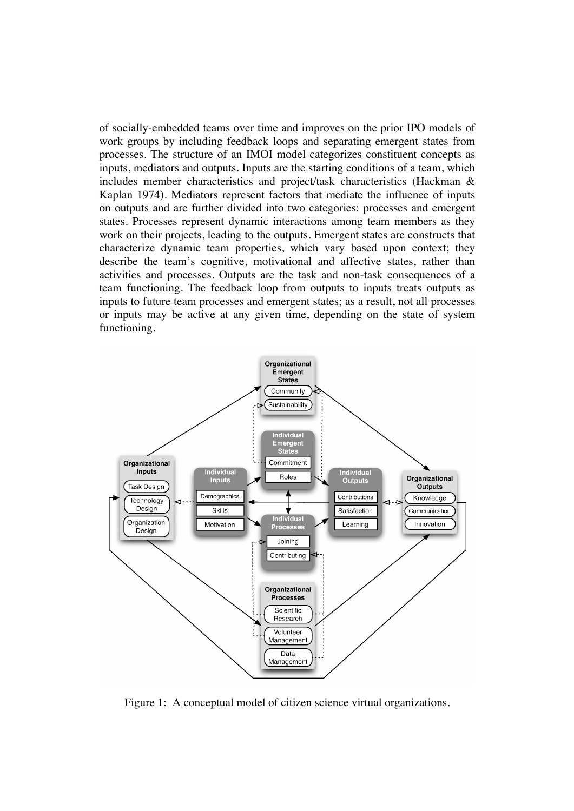of socially-embedded teams over time and improves on the prior IPO models of work groups by including feedback loops and separating emergent states from processes. The structure of an IMOI model categorizes constituent concepts as inputs, mediators and outputs. Inputs are the starting conditions of a team, which includes member characteristics and project/task characteristics (Hackman & Kaplan 1974). Mediators represent factors that mediate the influence of inputs on outputs and are further divided into two categories: processes and emergent states. Processes represent dynamic interactions among team members as they work on their projects, leading to the outputs. Emergent states are constructs that characterize dynamic team properties, which vary based upon context; they describe the team's cognitive, motivational and affective states, rather than activities and processes. Outputs are the task and non-task consequences of a team functioning. The feedback loop from outputs to inputs treats outputs as inputs to future team processes and emergent states; as a result, not all processes or inputs may be active at any given time, depending on the state of system functioning.



Figure 1: A conceptual model of citizen science virtual organizations.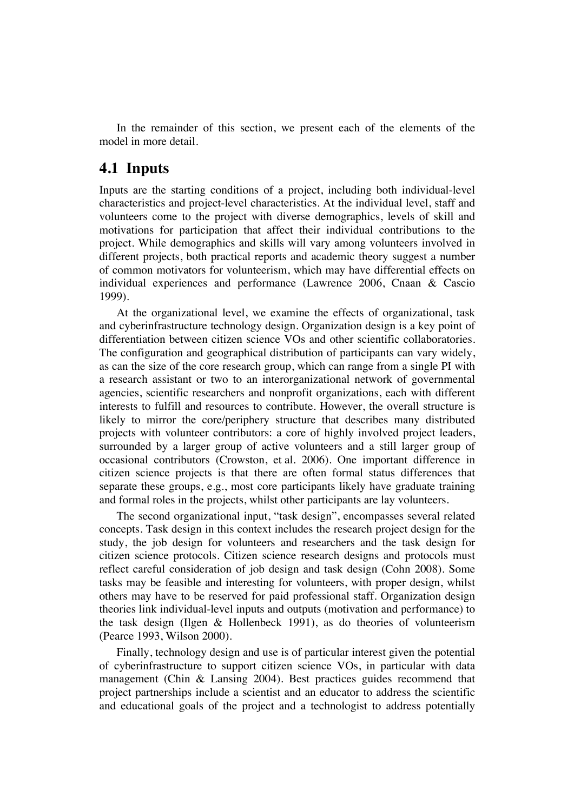In the remainder of this section, we present each of the elements of the model in more detail.

#### **4.1 Inputs**

Inputs are the starting conditions of a project, including both individual-level characteristics and project-level characteristics. At the individual level, staff and volunteers come to the project with diverse demographics, levels of skill and motivations for participation that affect their individual contributions to the project. While demographics and skills will vary among volunteers involved in different projects, both practical reports and academic theory suggest a number of common motivators for volunteerism, which may have differential effects on individual experiences and performance (Lawrence 2006, Cnaan & Cascio 1999).

At the organizational level, we examine the effects of organizational, task and cyberinfrastructure technology design. Organization design is a key point of differentiation between citizen science VOs and other scientific collaboratories. The configuration and geographical distribution of participants can vary widely, as can the size of the core research group, which can range from a single PI with a research assistant or two to an interorganizational network of governmental agencies, scientific researchers and nonprofit organizations, each with different interests to fulfill and resources to contribute. However, the overall structure is likely to mirror the core/periphery structure that describes many distributed projects with volunteer contributors: a core of highly involved project leaders, surrounded by a larger group of active volunteers and a still larger group of occasional contributors (Crowston, et al. 2006). One important difference in citizen science projects is that there are often formal status differences that separate these groups, e.g., most core participants likely have graduate training and formal roles in the projects, whilst other participants are lay volunteers.

The second organizational input, "task design", encompasses several related concepts. Task design in this context includes the research project design for the study, the job design for volunteers and researchers and the task design for citizen science protocols. Citizen science research designs and protocols must reflect careful consideration of job design and task design (Cohn 2008). Some tasks may be feasible and interesting for volunteers, with proper design, whilst others may have to be reserved for paid professional staff. Organization design theories link individual-level inputs and outputs (motivation and performance) to the task design (Ilgen & Hollenbeck 1991), as do theories of volunteerism (Pearce 1993, Wilson 2000).

Finally, technology design and use is of particular interest given the potential of cyberinfrastructure to support citizen science VOs, in particular with data management (Chin & Lansing 2004). Best practices guides recommend that project partnerships include a scientist and an educator to address the scientific and educational goals of the project and a technologist to address potentially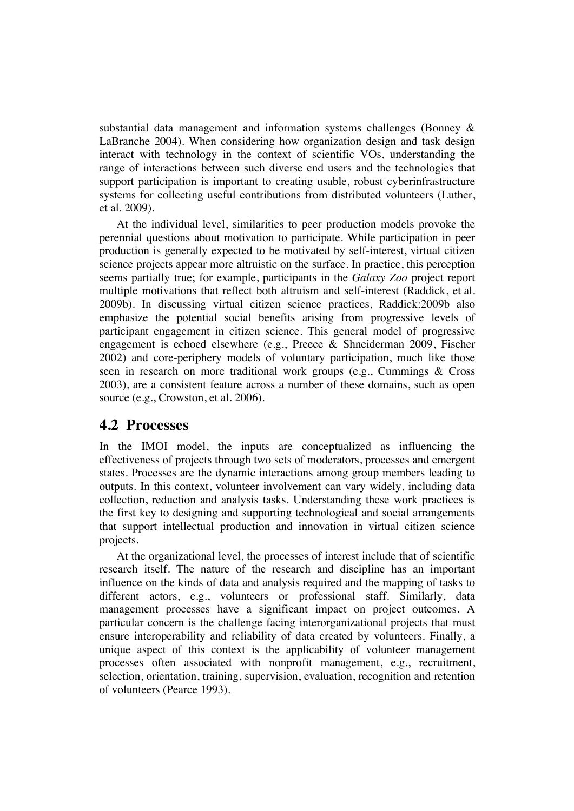substantial data management and information systems challenges (Bonney & LaBranche 2004). When considering how organization design and task design interact with technology in the context of scientific VOs, understanding the range of interactions between such diverse end users and the technologies that support participation is important to creating usable, robust cyberinfrastructure systems for collecting useful contributions from distributed volunteers (Luther, et al. 2009).

At the individual level, similarities to peer production models provoke the perennial questions about motivation to participate. While participation in peer production is generally expected to be motivated by self-interest, virtual citizen science projects appear more altruistic on the surface. In practice, this perception seems partially true; for example, participants in the *Galaxy Zoo* project report multiple motivations that reflect both altruism and self-interest (Raddick, et al. 2009b). In discussing virtual citizen science practices, Raddick:2009b also emphasize the potential social benefits arising from progressive levels of participant engagement in citizen science. This general model of progressive engagement is echoed elsewhere (e.g., Preece & Shneiderman 2009, Fischer 2002) and core-periphery models of voluntary participation, much like those seen in research on more traditional work groups (e.g., Cummings & Cross 2003), are a consistent feature across a number of these domains, such as open source (e.g., Crowston, et al. 2006).

### **4.2 Processes**

In the IMOI model, the inputs are conceptualized as influencing the effectiveness of projects through two sets of moderators, processes and emergent states. Processes are the dynamic interactions among group members leading to outputs. In this context, volunteer involvement can vary widely, including data collection, reduction and analysis tasks. Understanding these work practices is the first key to designing and supporting technological and social arrangements that support intellectual production and innovation in virtual citizen science projects.

At the organizational level, the processes of interest include that of scientific research itself. The nature of the research and discipline has an important influence on the kinds of data and analysis required and the mapping of tasks to different actors, e.g., volunteers or professional staff. Similarly, data management processes have a significant impact on project outcomes. A particular concern is the challenge facing interorganizational projects that must ensure interoperability and reliability of data created by volunteers. Finally, a unique aspect of this context is the applicability of volunteer management processes often associated with nonprofit management, e.g., recruitment, selection, orientation, training, supervision, evaluation, recognition and retention of volunteers (Pearce 1993).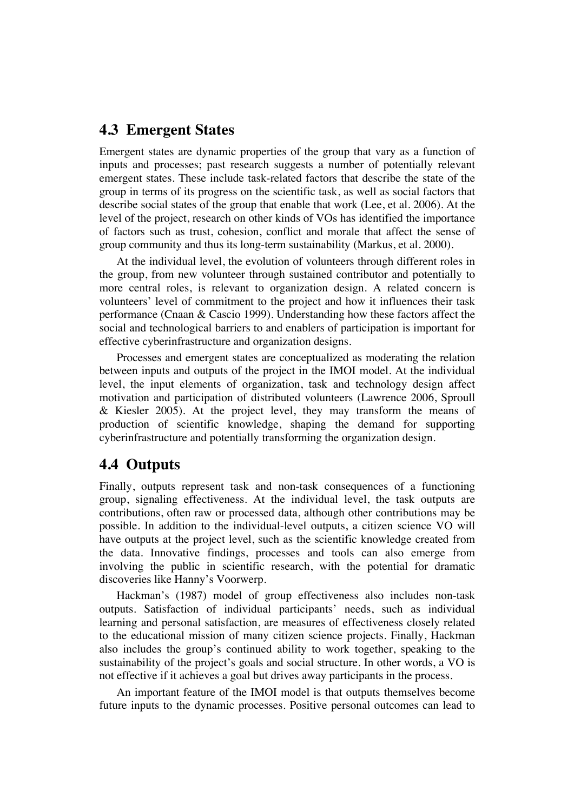## **4.3 Emergent States**

Emergent states are dynamic properties of the group that vary as a function of inputs and processes; past research suggests a number of potentially relevant emergent states. These include task-related factors that describe the state of the group in terms of its progress on the scientific task, as well as social factors that describe social states of the group that enable that work (Lee, et al. 2006). At the level of the project, research on other kinds of VOs has identified the importance of factors such as trust, cohesion, conflict and morale that affect the sense of group community and thus its long-term sustainability (Markus, et al. 2000).

At the individual level, the evolution of volunteers through different roles in the group, from new volunteer through sustained contributor and potentially to more central roles, is relevant to organization design. A related concern is volunteers' level of commitment to the project and how it influences their task performance (Cnaan & Cascio 1999). Understanding how these factors affect the social and technological barriers to and enablers of participation is important for effective cyberinfrastructure and organization designs.

Processes and emergent states are conceptualized as moderating the relation between inputs and outputs of the project in the IMOI model. At the individual level, the input elements of organization, task and technology design affect motivation and participation of distributed volunteers (Lawrence 2006, Sproull & Kiesler 2005). At the project level, they may transform the means of production of scientific knowledge, shaping the demand for supporting cyberinfrastructure and potentially transforming the organization design.

## **4.4 Outputs**

Finally, outputs represent task and non-task consequences of a functioning group, signaling effectiveness. At the individual level, the task outputs are contributions, often raw or processed data, although other contributions may be possible. In addition to the individual-level outputs, a citizen science VO will have outputs at the project level, such as the scientific knowledge created from the data. Innovative findings, processes and tools can also emerge from involving the public in scientific research, with the potential for dramatic discoveries like Hanny's Voorwerp.

Hackman's (1987) model of group effectiveness also includes non-task outputs. Satisfaction of individual participants' needs, such as individual learning and personal satisfaction, are measures of effectiveness closely related to the educational mission of many citizen science projects. Finally, Hackman also includes the group's continued ability to work together, speaking to the sustainability of the project's goals and social structure. In other words, a VO is not effective if it achieves a goal but drives away participants in the process.

An important feature of the IMOI model is that outputs themselves become future inputs to the dynamic processes. Positive personal outcomes can lead to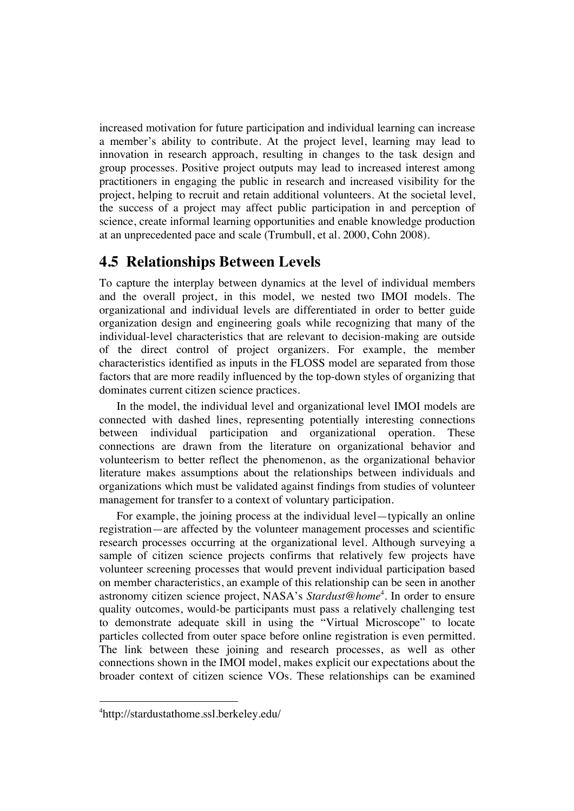increased motivation for future participation and individual learning can increase a member's ability to contribute. At the project level, learning may lead to innovation in research approach, resulting in changes to the task design and group processes. Positive project outputs may lead to increased interest among practitioners in engaging the public in research and increased visibility for the project, helping to recruit and retain additional volunteers. At the societal level, the success of a project may affect public participation in and perception of science, create informal learning opportunities and enable knowledge production at an unprecedented pace and scale (Trumbull, et al. 2000, Cohn 2008).

# **4.5 Relationships Between Levels**

To capture the interplay between dynamics at the level of individual members and the overall project, in this model, we nested two IMOI models. The organizational and individual levels are differentiated in order to better guide organization design and engineering goals while recognizing that many of the individual-level characteristics that are relevant to decision-making are outside of the direct control of project organizers. For example, the member characteristics identified as inputs in the FLOSS model are separated from those factors that are more readily influenced by the top-down styles of organizing that dominates current citizen science practices.

In the model, the individual level and organizational level IMOI models are connected with dashed lines, representing potentially interesting connections between individual participation and organizational operation. These connections are drawn from the literature on organizational behavior and volunteerism to better reflect the phenomenon, as the organizational behavior literature makes assumptions about the relationships between individuals and organizations which must be validated against findings from studies of volunteer management for transfer to a context of voluntary participation.

For example, the joining process at the individual level—typically an online registration—are affected by the volunteer management processes and scientific research processes occurring at the organizational level. Although surveying a sample of citizen science projects confirms that relatively few projects have volunteer screening processes that would prevent individual participation based on member characteristics, an example of this relationship can be seen in another astronomy citizen science project, NASA's *Stardust@home*<sup>4</sup> . In order to ensure quality outcomes, would-be participants must pass a relatively challenging test to demonstrate adequate skill in using the "Virtual Microscope" to locate particles collected from outer space before online registration is even permitted. The link between these joining and research processes, as well as other connections shown in the IMOI model, makes explicit our expectations about the broader context of citizen science VOs. These relationships can be examined

 $\frac{1}{4}$ http://stardustathome.ssl.berkeley.edu/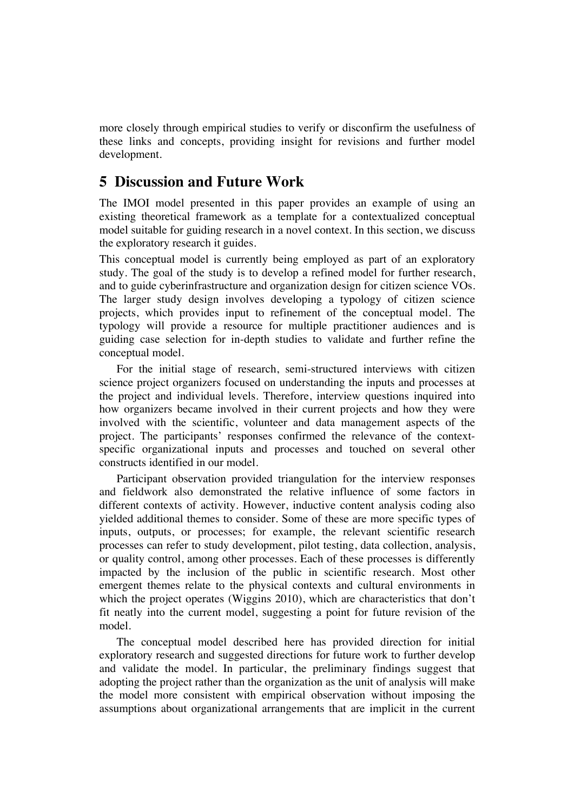more closely through empirical studies to verify or disconfirm the usefulness of these links and concepts, providing insight for revisions and further model development.

## **5 Discussion and Future Work**

The IMOI model presented in this paper provides an example of using an existing theoretical framework as a template for a contextualized conceptual model suitable for guiding research in a novel context. In this section, we discuss the exploratory research it guides.

This conceptual model is currently being employed as part of an exploratory study. The goal of the study is to develop a refined model for further research, and to guide cyberinfrastructure and organization design for citizen science VOs. The larger study design involves developing a typology of citizen science projects, which provides input to refinement of the conceptual model. The typology will provide a resource for multiple practitioner audiences and is guiding case selection for in-depth studies to validate and further refine the conceptual model.

For the initial stage of research, semi-structured interviews with citizen science project organizers focused on understanding the inputs and processes at the project and individual levels. Therefore, interview questions inquired into how organizers became involved in their current projects and how they were involved with the scientific, volunteer and data management aspects of the project. The participants' responses confirmed the relevance of the contextspecific organizational inputs and processes and touched on several other constructs identified in our model.

Participant observation provided triangulation for the interview responses and fieldwork also demonstrated the relative influence of some factors in different contexts of activity. However, inductive content analysis coding also yielded additional themes to consider. Some of these are more specific types of inputs, outputs, or processes; for example, the relevant scientific research processes can refer to study development, pilot testing, data collection, analysis, or quality control, among other processes. Each of these processes is differently impacted by the inclusion of the public in scientific research. Most other emergent themes relate to the physical contexts and cultural environments in which the project operates (Wiggins 2010), which are characteristics that don't fit neatly into the current model, suggesting a point for future revision of the model.

The conceptual model described here has provided direction for initial exploratory research and suggested directions for future work to further develop and validate the model. In particular, the preliminary findings suggest that adopting the project rather than the organization as the unit of analysis will make the model more consistent with empirical observation without imposing the assumptions about organizational arrangements that are implicit in the current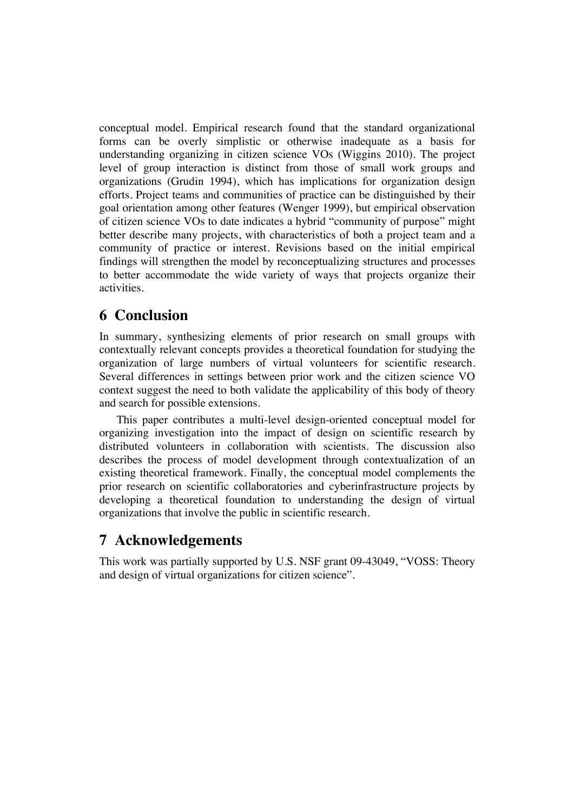conceptual model. Empirical research found that the standard organizational forms can be overly simplistic or otherwise inadequate as a basis for understanding organizing in citizen science VOs (Wiggins 2010). The project level of group interaction is distinct from those of small work groups and organizations (Grudin 1994), which has implications for organization design efforts. Project teams and communities of practice can be distinguished by their goal orientation among other features (Wenger 1999), but empirical observation of citizen science VOs to date indicates a hybrid "community of purpose" might better describe many projects, with characteristics of both a project team and a community of practice or interest. Revisions based on the initial empirical findings will strengthen the model by reconceptualizing structures and processes to better accommodate the wide variety of ways that projects organize their activities.

## **6 Conclusion**

In summary, synthesizing elements of prior research on small groups with contextually relevant concepts provides a theoretical foundation for studying the organization of large numbers of virtual volunteers for scientific research. Several differences in settings between prior work and the citizen science VO context suggest the need to both validate the applicability of this body of theory and search for possible extensions.

This paper contributes a multi-level design-oriented conceptual model for organizing investigation into the impact of design on scientific research by distributed volunteers in collaboration with scientists. The discussion also describes the process of model development through contextualization of an existing theoretical framework. Finally, the conceptual model complements the prior research on scientific collaboratories and cyberinfrastructure projects by developing a theoretical foundation to understanding the design of virtual organizations that involve the public in scientific research.

## **7 Acknowledgements**

This work was partially supported by U.S. NSF grant 09-43049, "VOSS: Theory and design of virtual organizations for citizen science".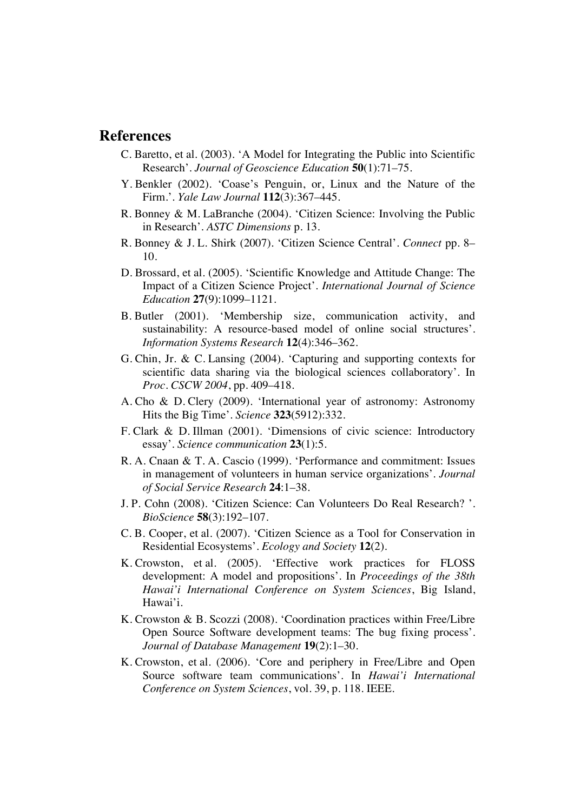#### **References**

- C. Baretto, et al. (2003). 'A Model for Integrating the Public into Scientific Research'. *Journal of Geoscience Education* **50**(1):71–75.
- Y. Benkler (2002). 'Coase's Penguin, or, Linux and the Nature of the Firm.'. *Yale Law Journal* **112**(3):367–445.
- R. Bonney & M. LaBranche (2004). 'Citizen Science: Involving the Public in Research'. *ASTC Dimensions* p. 13.
- R. Bonney & J. L. Shirk (2007). 'Citizen Science Central'. *Connect* pp. 8– 10.
- D. Brossard, et al. (2005). 'Scientific Knowledge and Attitude Change: The Impact of a Citizen Science Project'. *International Journal of Science Education* **27**(9):1099–1121.
- B. Butler (2001). 'Membership size, communication activity, and sustainability: A resource-based model of online social structures'. *Information Systems Research* **12**(4):346–362.
- G. Chin, Jr. & C. Lansing (2004). 'Capturing and supporting contexts for scientific data sharing via the biological sciences collaboratory'. In *Proc. CSCW 2004*, pp. 409–418.
- A. Cho & D. Clery (2009). 'International year of astronomy: Astronomy Hits the Big Time'. *Science* **323**(5912):332.
- F. Clark & D. Illman (2001). 'Dimensions of civic science: Introductory essay'. *Science communication* **23**(1):5.
- R. A. Cnaan & T. A. Cascio (1999). 'Performance and commitment: Issues in management of volunteers in human service organizations'. *Journal of Social Service Research* **24**:1–38.
- J. P. Cohn (2008). 'Citizen Science: Can Volunteers Do Real Research? '. *BioScience* **58**(3):192–107.
- C. B. Cooper, et al. (2007). 'Citizen Science as a Tool for Conservation in Residential Ecosystems'. *Ecology and Society* **12**(2).
- K. Crowston, et al. (2005). 'Effective work practices for FLOSS development: A model and propositions'. In *Proceedings of the 38th Hawai'i International Conference on System Sciences*, Big Island, Hawai'i.
- K. Crowston & B. Scozzi (2008). 'Coordination practices within Free/Libre Open Source Software development teams: The bug fixing process'. *Journal of Database Management* **19**(2):1–30.
- K. Crowston, et al. (2006). 'Core and periphery in Free/Libre and Open Source software team communications'. In *Hawai'i International Conference on System Sciences*, vol. 39, p. 118. IEEE.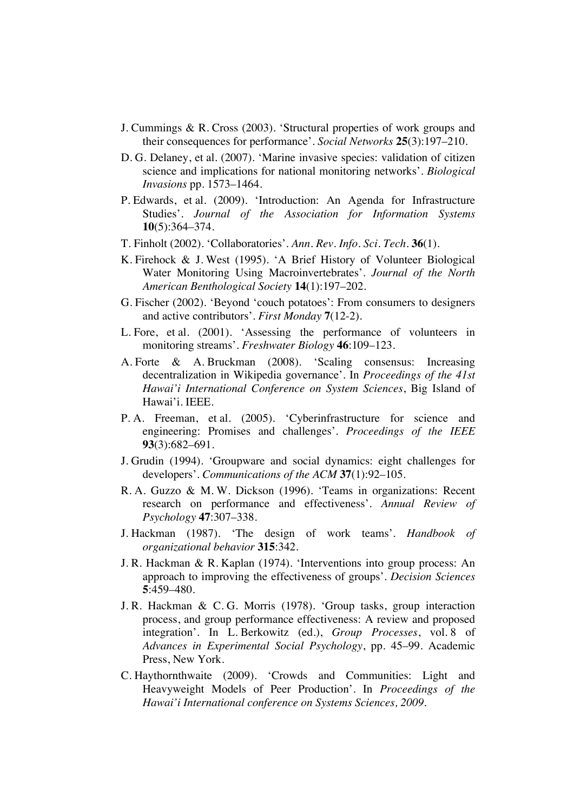- J. Cummings & R. Cross (2003). 'Structural properties of work groups and their consequences for performance'. *Social Networks* **25**(3):197–210.
- D. G. Delaney, et al. (2007). 'Marine invasive species: validation of citizen science and implications for national monitoring networks'. *Biological Invasions* pp. 1573–1464.
- P. Edwards, et al. (2009). 'Introduction: An Agenda for Infrastructure Studies'. *Journal of the Association for Information Systems* **10**(5):364–374.
- T. Finholt (2002). 'Collaboratories'. *Ann. Rev. Info. Sci. Tech.* **36**(1).
- K. Firehock & J. West (1995). 'A Brief History of Volunteer Biological Water Monitoring Using Macroinvertebrates'. *Journal of the North American Benthological Society* **14**(1):197–202.
- G. Fischer (2002). 'Beyond 'couch potatoes': From consumers to designers and active contributors'. *First Monday* **7**(12-2).
- L. Fore, et al. (2001). 'Assessing the performance of volunteers in monitoring streams'. *Freshwater Biology* **46**:109–123.
- A. Forte & A. Bruckman (2008). 'Scaling consensus: Increasing decentralization in Wikipedia governance'. In *Proceedings of the 41st Hawai'i International Conference on System Sciences*, Big Island of Hawai'i. IEEE.
- P. A. Freeman, et al. (2005). 'Cyberinfrastructure for science and engineering: Promises and challenges'. *Proceedings of the IEEE* **93**(3):682–691.
- J. Grudin (1994). 'Groupware and social dynamics: eight challenges for developers'. *Communications of the ACM* **37**(1):92–105.
- R. A. Guzzo & M. W. Dickson (1996). 'Teams in organizations: Recent research on performance and effectiveness'. *Annual Review of Psychology* **47**:307–338.
- J. Hackman (1987). 'The design of work teams'. *Handbook of organizational behavior* **315**:342.
- J. R. Hackman & R. Kaplan (1974). 'Interventions into group process: An approach to improving the effectiveness of groups'. *Decision Sciences* **5**:459–480.
- J. R. Hackman & C. G. Morris (1978). 'Group tasks, group interaction process, and group performance effectiveness: A review and proposed integration'. In L. Berkowitz (ed.), *Group Processes*, vol. 8 of *Advances in Experimental Social Psychology*, pp. 45–99. Academic Press, New York.
- C. Haythornthwaite (2009). 'Crowds and Communities: Light and Heavyweight Models of Peer Production'. In *Proceedings of the Hawai'i International conference on Systems Sciences, 2009*.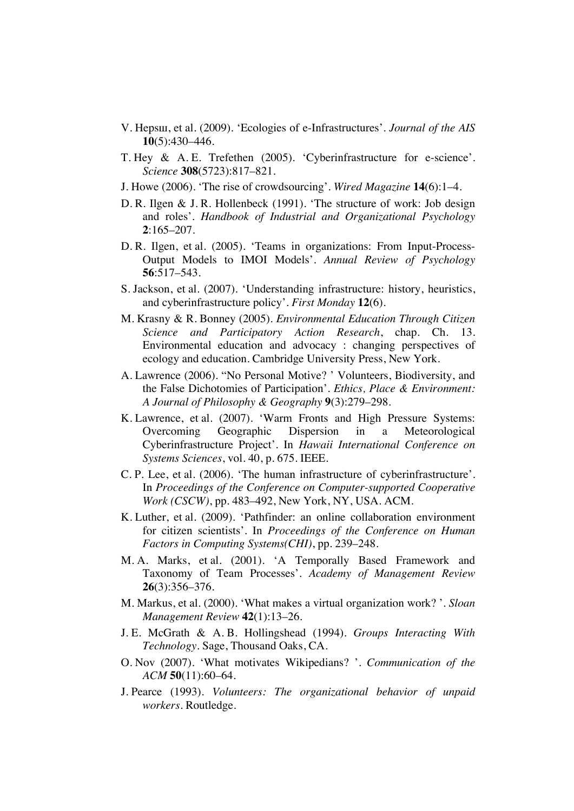- V. Hepsш, et al. (2009). 'Ecologies of e-Infrastructures'. *Journal of the AIS* **10**(5):430–446.
- T. Hey & A. E. Trefethen (2005). 'Cyberinfrastructure for e-science'. *Science* **308**(5723):817–821.
- J. Howe (2006). 'The rise of crowdsourcing'. *Wired Magazine* **14**(6):1–4.
- D. R. Ilgen & J. R. Hollenbeck (1991). 'The structure of work: Job design and roles'. *Handbook of Industrial and Organizational Psychology* **2**:165–207.
- D. R. Ilgen, et al. (2005). 'Teams in organizations: From Input-Process-Output Models to IMOI Models'. *Annual Review of Psychology* **56**:517–543.
- S. Jackson, et al. (2007). 'Understanding infrastructure: history, heuristics, and cyberinfrastructure policy'. *First Monday* **12**(6).
- M. Krasny & R. Bonney (2005). *Environmental Education Through Citizen Science and Participatory Action Research*, chap. Ch. 13. Environmental education and advocacy : changing perspectives of ecology and education. Cambridge University Press, New York.
- A. Lawrence (2006). "No Personal Motive? ' Volunteers, Biodiversity, and the False Dichotomies of Participation'. *Ethics, Place & Environment: A Journal of Philosophy & Geography* **9**(3):279–298.
- K. Lawrence, et al. (2007). 'Warm Fronts and High Pressure Systems: Overcoming Geographic Dispersion in a Meteorological Cyberinfrastructure Project'. In *Hawaii International Conference on Systems Sciences*, vol. 40, p. 675. IEEE.
- C. P. Lee, et al. (2006). 'The human infrastructure of cyberinfrastructure'. In *Proceedings of the Conference on Computer-supported Cooperative Work (CSCW)*, pp. 483–492, New York, NY, USA. ACM.
- K. Luther, et al. (2009). 'Pathfinder: an online collaboration environment for citizen scientists'. In *Proceedings of the Conference on Human Factors in Computing Systems(CHI)*, pp. 239–248.
- M. A. Marks, et al. (2001). 'A Temporally Based Framework and Taxonomy of Team Processes'. *Academy of Management Review* **26**(3):356–376.
- M. Markus, et al. (2000). 'What makes a virtual organization work? '. *Sloan Management Review* **42**(1):13–26.
- J. E. McGrath & A. B. Hollingshead (1994). *Groups Interacting With Technology*. Sage, Thousand Oaks, CA.
- O. Nov (2007). 'What motivates Wikipedians? '. *Communication of the ACM* **50**(11):60–64.
- J. Pearce (1993). *Volunteers: The organizational behavior of unpaid workers*. Routledge.